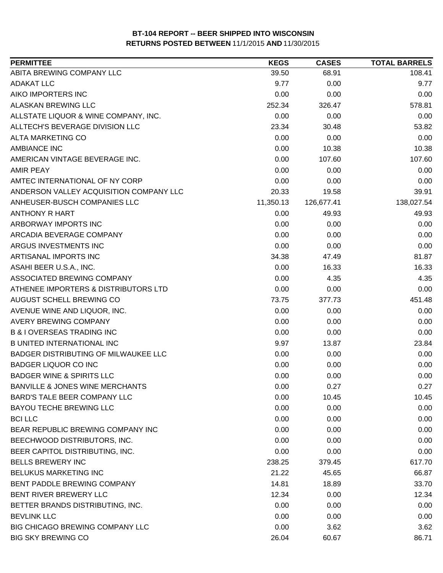| <b>PERMITTEE</b>                           | <b>KEGS</b> | <b>CASES</b> | <b>TOTAL BARRELS</b> |
|--------------------------------------------|-------------|--------------|----------------------|
| ABITA BREWING COMPANY LLC                  | 39.50       | 68.91        | 108.41               |
| <b>ADAKAT LLC</b>                          | 9.77        | 0.00         | 9.77                 |
| AIKO IMPORTERS INC                         | 0.00        | 0.00         | 0.00                 |
| <b>ALASKAN BREWING LLC</b>                 | 252.34      | 326.47       | 578.81               |
| ALLSTATE LIQUOR & WINE COMPANY, INC.       | 0.00        | 0.00         | 0.00                 |
| ALLTECH'S BEVERAGE DIVISION LLC            | 23.34       | 30.48        | 53.82                |
| ALTA MARKETING CO                          | 0.00        | 0.00         | 0.00                 |
| <b>AMBIANCE INC</b>                        | 0.00        | 10.38        | 10.38                |
| AMERICAN VINTAGE BEVERAGE INC.             | 0.00        | 107.60       | 107.60               |
| <b>AMIR PEAY</b>                           | 0.00        | 0.00         | 0.00                 |
| AMTEC INTERNATIONAL OF NY CORP             | 0.00        | 0.00         | 0.00                 |
| ANDERSON VALLEY ACQUISITION COMPANY LLC    | 20.33       | 19.58        | 39.91                |
| ANHEUSER-BUSCH COMPANIES LLC               | 11,350.13   | 126,677.41   | 138,027.54           |
| <b>ANTHONY R HART</b>                      | 0.00        | 49.93        | 49.93                |
| ARBORWAY IMPORTS INC                       | 0.00        | 0.00         | 0.00                 |
| ARCADIA BEVERAGE COMPANY                   | 0.00        | 0.00         | 0.00                 |
| ARGUS INVESTMENTS INC                      | 0.00        | 0.00         | 0.00                 |
| ARTISANAL IMPORTS INC                      | 34.38       | 47.49        | 81.87                |
| ASAHI BEER U.S.A., INC.                    | 0.00        | 16.33        | 16.33                |
| ASSOCIATED BREWING COMPANY                 | 0.00        | 4.35         | 4.35                 |
| ATHENEE IMPORTERS & DISTRIBUTORS LTD       | 0.00        | 0.00         | 0.00                 |
| AUGUST SCHELL BREWING CO                   | 73.75       | 377.73       | 451.48               |
| AVENUE WINE AND LIQUOR, INC.               | 0.00        | 0.00         | 0.00                 |
| AVERY BREWING COMPANY                      | 0.00        | 0.00         | 0.00                 |
| <b>B &amp; I OVERSEAS TRADING INC</b>      | 0.00        | 0.00         | 0.00                 |
| <b>B UNITED INTERNATIONAL INC</b>          | 9.97        | 13.87        | 23.84                |
| BADGER DISTRIBUTING OF MILWAUKEE LLC       | 0.00        | 0.00         | 0.00                 |
| <b>BADGER LIQUOR CO INC</b>                | 0.00        | 0.00         | 0.00                 |
| <b>BADGER WINE &amp; SPIRITS LLC</b>       | 0.00        | 0.00         | 0.00                 |
| <b>BANVILLE &amp; JONES WINE MERCHANTS</b> | 0.00        | 0.27         | 0.27                 |
| <b>BARD'S TALE BEER COMPANY LLC</b>        | 0.00        | 10.45        | 10.45                |
| BAYOU TECHE BREWING LLC                    | 0.00        | 0.00         | 0.00                 |
| <b>BCI LLC</b>                             | 0.00        | 0.00         | 0.00                 |
| BEAR REPUBLIC BREWING COMPANY INC          | 0.00        | 0.00         | 0.00                 |
| BEECHWOOD DISTRIBUTORS, INC.               | 0.00        | 0.00         | 0.00                 |
| BEER CAPITOL DISTRIBUTING, INC.            | 0.00        | 0.00         | 0.00                 |
| <b>BELLS BREWERY INC</b>                   | 238.25      | 379.45       | 617.70               |
| <b>BELUKUS MARKETING INC</b>               | 21.22       | 45.65        | 66.87                |
| BENT PADDLE BREWING COMPANY                | 14.81       | 18.89        | 33.70                |
| BENT RIVER BREWERY LLC                     | 12.34       | 0.00         | 12.34                |
| BETTER BRANDS DISTRIBUTING, INC.           | 0.00        | 0.00         | 0.00                 |
| <b>BEVLINK LLC</b>                         | 0.00        | 0.00         | 0.00                 |
| BIG CHICAGO BREWING COMPANY LLC            | 0.00        | 3.62         | 3.62                 |
| <b>BIG SKY BREWING CO</b>                  | 26.04       | 60.67        | 86.71                |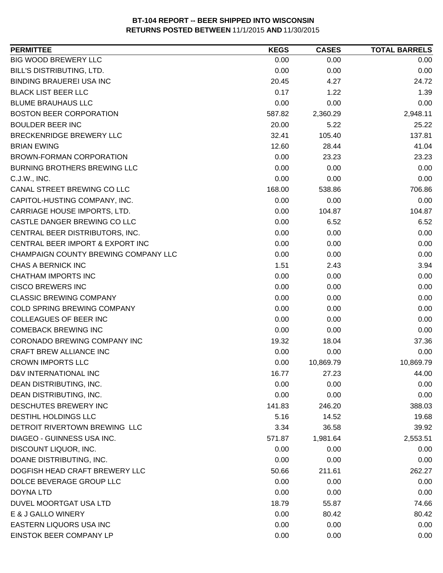| <b>PERMITTEE</b>                     | <b>KEGS</b> | <b>CASES</b> | <b>TOTAL BARRELS</b> |
|--------------------------------------|-------------|--------------|----------------------|
| BIG WOOD BREWERY LLC                 | 0.00        | 0.00         | 0.00                 |
| BILL'S DISTRIBUTING, LTD.            | 0.00        | 0.00         | 0.00                 |
| <b>BINDING BRAUEREI USA INC</b>      | 20.45       | 4.27         | 24.72                |
| <b>BLACK LIST BEER LLC</b>           | 0.17        | 1.22         | 1.39                 |
| <b>BLUME BRAUHAUS LLC</b>            | 0.00        | 0.00         | 0.00                 |
| <b>BOSTON BEER CORPORATION</b>       | 587.82      | 2,360.29     | 2,948.11             |
| <b>BOULDER BEER INC</b>              | 20.00       | 5.22         | 25.22                |
| BRECKENRIDGE BREWERY LLC             | 32.41       | 105.40       | 137.81               |
| <b>BRIAN EWING</b>                   | 12.60       | 28.44        | 41.04                |
| <b>BROWN-FORMAN CORPORATION</b>      | 0.00        | 23.23        | 23.23                |
| <b>BURNING BROTHERS BREWING LLC</b>  | 0.00        | 0.00         | 0.00                 |
| C.J.W., INC.                         | 0.00        | 0.00         | 0.00                 |
| CANAL STREET BREWING CO LLC          | 168.00      | 538.86       | 706.86               |
| CAPITOL-HUSTING COMPANY, INC.        | 0.00        | 0.00         | 0.00                 |
| CARRIAGE HOUSE IMPORTS, LTD.         | 0.00        | 104.87       | 104.87               |
| CASTLE DANGER BREWING CO LLC         | 0.00        | 6.52         | 6.52                 |
| CENTRAL BEER DISTRIBUTORS, INC.      | 0.00        | 0.00         | 0.00                 |
| CENTRAL BEER IMPORT & EXPORT INC     | 0.00        | 0.00         | 0.00                 |
| CHAMPAIGN COUNTY BREWING COMPANY LLC | 0.00        | 0.00         | 0.00                 |
| CHAS A BERNICK INC                   | 1.51        | 2.43         | 3.94                 |
| CHATHAM IMPORTS INC                  | 0.00        | 0.00         | 0.00                 |
| <b>CISCO BREWERS INC</b>             | 0.00        | 0.00         | 0.00                 |
| <b>CLASSIC BREWING COMPANY</b>       | 0.00        | 0.00         | 0.00                 |
| COLD SPRING BREWING COMPANY          | 0.00        | 0.00         | 0.00                 |
| COLLEAGUES OF BEER INC               | 0.00        | 0.00         | 0.00                 |
| <b>COMEBACK BREWING INC</b>          | 0.00        | 0.00         | 0.00                 |
| <b>CORONADO BREWING COMPANY INC</b>  | 19.32       | 18.04        | 37.36                |
| <b>CRAFT BREW ALLIANCE INC</b>       | 0.00        | 0.00         | 0.00                 |
| <b>CROWN IMPORTS LLC</b>             | 0.00        | 10,869.79    | 10,869.79            |
| D&V INTERNATIONAL INC                | 16.77       | 27.23        | 44.00                |
| DEAN DISTRIBUTING, INC.              | 0.00        | 0.00         | 0.00                 |
| DEAN DISTRIBUTING, INC.              | 0.00        | 0.00         | 0.00                 |
| DESCHUTES BREWERY INC                | 141.83      | 246.20       | 388.03               |
| <b>DESTIHL HOLDINGS LLC</b>          | 5.16        | 14.52        | 19.68                |
| DETROIT RIVERTOWN BREWING LLC        | 3.34        | 36.58        | 39.92                |
| <b>DIAGEO - GUINNESS USA INC.</b>    | 571.87      | 1,981.64     | 2,553.51             |
| DISCOUNT LIQUOR, INC.                | 0.00        | 0.00         | 0.00                 |
| DOANE DISTRIBUTING, INC.             | 0.00        | 0.00         | 0.00                 |
| DOGFISH HEAD CRAFT BREWERY LLC       | 50.66       | 211.61       | 262.27               |
| DOLCE BEVERAGE GROUP LLC             | 0.00        | 0.00         | 0.00                 |
| <b>DOYNA LTD</b>                     | 0.00        | 0.00         | 0.00                 |
| DUVEL MOORTGAT USA LTD               | 18.79       | 55.87        | 74.66                |
| E & J GALLO WINERY                   | 0.00        | 80.42        | 80.42                |
|                                      |             |              |                      |
| EASTERN LIQUORS USA INC              | 0.00        | 0.00         | 0.00                 |
| EINSTOK BEER COMPANY LP              | 0.00        | 0.00         | 0.00                 |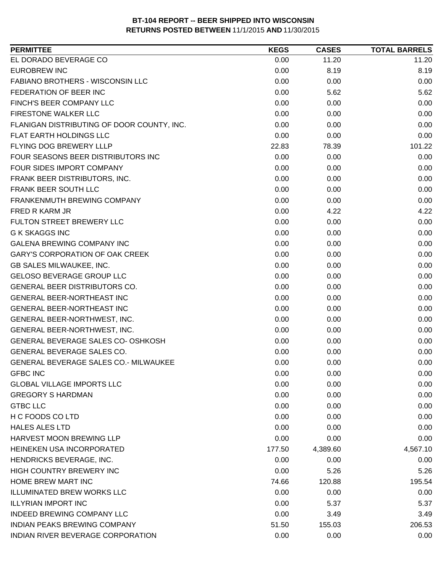| EL DORADO BEVERAGE CO<br>11.20<br>0.00<br>11.20<br><b>EUROBREW INC</b><br>0.00<br>8.19<br>8.19<br>FABIANO BROTHERS - WISCONSIN LLC<br>0.00<br>0.00<br>0.00<br>FEDERATION OF BEER INC<br>0.00<br>5.62<br>5.62<br>FINCH'S BEER COMPANY LLC<br>0.00<br>0.00<br>0.00<br>FIRESTONE WALKER LLC<br>0.00<br>0.00<br>0.00<br>FLANIGAN DISTRIBUTING OF DOOR COUNTY, INC.<br>0.00<br>0.00<br>0.00<br>FLAT EARTH HOLDINGS LLC<br>0.00<br>0.00<br>0.00<br>FLYING DOG BREWERY LLLP<br>22.83<br>101.22<br>78.39<br>FOUR SEASONS BEER DISTRIBUTORS INC<br>0.00<br>0.00<br>0.00<br>FOUR SIDES IMPORT COMPANY<br>0.00<br>0.00<br>0.00<br>0.00<br>FRANK BEER DISTRIBUTORS, INC.<br>0.00<br>0.00<br>0.00<br>0.00<br>FRANK BEER SOUTH LLC<br>0.00<br>FRANKENMUTH BREWING COMPANY<br>0.00<br>0.00<br>0.00<br>FRED R KARM JR<br>0.00<br>4.22<br>4.22<br>FULTON STREET BREWERY LLC<br>0.00<br>0.00<br>0.00<br>0.00<br><b>G K SKAGGS INC</b><br>0.00<br>0.00<br><b>GALENA BREWING COMPANY INC</b><br>0.00<br>0.00<br>0.00<br><b>GARY'S CORPORATION OF OAK CREEK</b><br>0.00<br>0.00<br>0.00<br>0.00<br><b>GB SALES MILWAUKEE, INC.</b><br>0.00<br>0.00<br><b>GELOSO BEVERAGE GROUP LLC</b><br>0.00<br>0.00<br>0.00<br>GENERAL BEER DISTRIBUTORS CO.<br>0.00<br>0.00<br>0.00<br>GENERAL BEER-NORTHEAST INC<br>0.00<br>0.00<br>0.00<br>GENERAL BEER-NORTHEAST INC<br>0.00<br>0.00<br>0.00<br>0.00<br>0.00<br>0.00<br>GENERAL BEER-NORTHWEST, INC.<br>GENERAL BEER-NORTHWEST, INC.<br>0.00<br>0.00<br>0.00<br>GENERAL BEVERAGE SALES CO- OSHKOSH<br>0.00<br>0.00<br>0.00<br>GENERAL BEVERAGE SALES CO.<br>0.00<br>0.00<br>0.00<br>GENERAL BEVERAGE SALES CO.- MILWAUKEE<br>0.00<br>0.00<br>0.00<br><b>GFBC INC</b><br>0.00<br>0.00<br>0.00<br>0.00<br>0.00<br>0.00<br><b>GLOBAL VILLAGE IMPORTS LLC</b><br><b>GREGORY S HARDMAN</b><br>0.00<br>0.00<br>0.00<br><b>GTBC LLC</b><br>0.00<br>0.00<br>0.00<br>H C FOODS CO LTD<br>0.00<br>0.00<br>0.00<br><b>HALES ALES LTD</b><br>0.00<br>0.00<br>0.00<br>HARVEST MOON BREWING LLP<br>0.00<br>0.00<br>0.00<br>HEINEKEN USA INCORPORATED<br>177.50<br>4,389.60<br>4,567.10<br>HENDRICKS BEVERAGE, INC.<br>0.00<br>0.00<br>0.00<br>HIGH COUNTRY BREWERY INC<br>0.00<br>5.26<br>5.26<br><b>HOME BREW MART INC</b><br>74.66<br>120.88<br>195.54<br><b>ILLUMINATED BREW WORKS LLC</b><br>0.00<br>0.00<br>0.00<br><b>ILLYRIAN IMPORT INC</b><br>0.00<br>5.37<br>5.37<br><b>INDEED BREWING COMPANY LLC</b><br>0.00<br>3.49<br>3.49<br><b>INDIAN PEAKS BREWING COMPANY</b><br>51.50<br>155.03<br>206.53<br>INDIAN RIVER BEVERAGE CORPORATION<br>0.00<br>0.00<br>0.00 | <b>PERMITTEE</b> | <b>KEGS</b> | <b>CASES</b> | <b>TOTAL BARRELS</b> |
|-------------------------------------------------------------------------------------------------------------------------------------------------------------------------------------------------------------------------------------------------------------------------------------------------------------------------------------------------------------------------------------------------------------------------------------------------------------------------------------------------------------------------------------------------------------------------------------------------------------------------------------------------------------------------------------------------------------------------------------------------------------------------------------------------------------------------------------------------------------------------------------------------------------------------------------------------------------------------------------------------------------------------------------------------------------------------------------------------------------------------------------------------------------------------------------------------------------------------------------------------------------------------------------------------------------------------------------------------------------------------------------------------------------------------------------------------------------------------------------------------------------------------------------------------------------------------------------------------------------------------------------------------------------------------------------------------------------------------------------------------------------------------------------------------------------------------------------------------------------------------------------------------------------------------------------------------------------------------------------------------------------------------------------------------------------------------------------------------------------------------------------------------------------------------------------------------------------------------------------------------------------------------------------------------------------------------------------------------------------------------------------------------------------------------------------------------------------------------------------------------------------------------------------------------------------------------------|------------------|-------------|--------------|----------------------|
|                                                                                                                                                                                                                                                                                                                                                                                                                                                                                                                                                                                                                                                                                                                                                                                                                                                                                                                                                                                                                                                                                                                                                                                                                                                                                                                                                                                                                                                                                                                                                                                                                                                                                                                                                                                                                                                                                                                                                                                                                                                                                                                                                                                                                                                                                                                                                                                                                                                                                                                                                                               |                  |             |              |                      |
|                                                                                                                                                                                                                                                                                                                                                                                                                                                                                                                                                                                                                                                                                                                                                                                                                                                                                                                                                                                                                                                                                                                                                                                                                                                                                                                                                                                                                                                                                                                                                                                                                                                                                                                                                                                                                                                                                                                                                                                                                                                                                                                                                                                                                                                                                                                                                                                                                                                                                                                                                                               |                  |             |              |                      |
|                                                                                                                                                                                                                                                                                                                                                                                                                                                                                                                                                                                                                                                                                                                                                                                                                                                                                                                                                                                                                                                                                                                                                                                                                                                                                                                                                                                                                                                                                                                                                                                                                                                                                                                                                                                                                                                                                                                                                                                                                                                                                                                                                                                                                                                                                                                                                                                                                                                                                                                                                                               |                  |             |              |                      |
|                                                                                                                                                                                                                                                                                                                                                                                                                                                                                                                                                                                                                                                                                                                                                                                                                                                                                                                                                                                                                                                                                                                                                                                                                                                                                                                                                                                                                                                                                                                                                                                                                                                                                                                                                                                                                                                                                                                                                                                                                                                                                                                                                                                                                                                                                                                                                                                                                                                                                                                                                                               |                  |             |              |                      |
|                                                                                                                                                                                                                                                                                                                                                                                                                                                                                                                                                                                                                                                                                                                                                                                                                                                                                                                                                                                                                                                                                                                                                                                                                                                                                                                                                                                                                                                                                                                                                                                                                                                                                                                                                                                                                                                                                                                                                                                                                                                                                                                                                                                                                                                                                                                                                                                                                                                                                                                                                                               |                  |             |              |                      |
|                                                                                                                                                                                                                                                                                                                                                                                                                                                                                                                                                                                                                                                                                                                                                                                                                                                                                                                                                                                                                                                                                                                                                                                                                                                                                                                                                                                                                                                                                                                                                                                                                                                                                                                                                                                                                                                                                                                                                                                                                                                                                                                                                                                                                                                                                                                                                                                                                                                                                                                                                                               |                  |             |              |                      |
|                                                                                                                                                                                                                                                                                                                                                                                                                                                                                                                                                                                                                                                                                                                                                                                                                                                                                                                                                                                                                                                                                                                                                                                                                                                                                                                                                                                                                                                                                                                                                                                                                                                                                                                                                                                                                                                                                                                                                                                                                                                                                                                                                                                                                                                                                                                                                                                                                                                                                                                                                                               |                  |             |              |                      |
|                                                                                                                                                                                                                                                                                                                                                                                                                                                                                                                                                                                                                                                                                                                                                                                                                                                                                                                                                                                                                                                                                                                                                                                                                                                                                                                                                                                                                                                                                                                                                                                                                                                                                                                                                                                                                                                                                                                                                                                                                                                                                                                                                                                                                                                                                                                                                                                                                                                                                                                                                                               |                  |             |              |                      |
|                                                                                                                                                                                                                                                                                                                                                                                                                                                                                                                                                                                                                                                                                                                                                                                                                                                                                                                                                                                                                                                                                                                                                                                                                                                                                                                                                                                                                                                                                                                                                                                                                                                                                                                                                                                                                                                                                                                                                                                                                                                                                                                                                                                                                                                                                                                                                                                                                                                                                                                                                                               |                  |             |              |                      |
|                                                                                                                                                                                                                                                                                                                                                                                                                                                                                                                                                                                                                                                                                                                                                                                                                                                                                                                                                                                                                                                                                                                                                                                                                                                                                                                                                                                                                                                                                                                                                                                                                                                                                                                                                                                                                                                                                                                                                                                                                                                                                                                                                                                                                                                                                                                                                                                                                                                                                                                                                                               |                  |             |              |                      |
|                                                                                                                                                                                                                                                                                                                                                                                                                                                                                                                                                                                                                                                                                                                                                                                                                                                                                                                                                                                                                                                                                                                                                                                                                                                                                                                                                                                                                                                                                                                                                                                                                                                                                                                                                                                                                                                                                                                                                                                                                                                                                                                                                                                                                                                                                                                                                                                                                                                                                                                                                                               |                  |             |              |                      |
|                                                                                                                                                                                                                                                                                                                                                                                                                                                                                                                                                                                                                                                                                                                                                                                                                                                                                                                                                                                                                                                                                                                                                                                                                                                                                                                                                                                                                                                                                                                                                                                                                                                                                                                                                                                                                                                                                                                                                                                                                                                                                                                                                                                                                                                                                                                                                                                                                                                                                                                                                                               |                  |             |              |                      |
|                                                                                                                                                                                                                                                                                                                                                                                                                                                                                                                                                                                                                                                                                                                                                                                                                                                                                                                                                                                                                                                                                                                                                                                                                                                                                                                                                                                                                                                                                                                                                                                                                                                                                                                                                                                                                                                                                                                                                                                                                                                                                                                                                                                                                                                                                                                                                                                                                                                                                                                                                                               |                  |             |              |                      |
|                                                                                                                                                                                                                                                                                                                                                                                                                                                                                                                                                                                                                                                                                                                                                                                                                                                                                                                                                                                                                                                                                                                                                                                                                                                                                                                                                                                                                                                                                                                                                                                                                                                                                                                                                                                                                                                                                                                                                                                                                                                                                                                                                                                                                                                                                                                                                                                                                                                                                                                                                                               |                  |             |              |                      |
|                                                                                                                                                                                                                                                                                                                                                                                                                                                                                                                                                                                                                                                                                                                                                                                                                                                                                                                                                                                                                                                                                                                                                                                                                                                                                                                                                                                                                                                                                                                                                                                                                                                                                                                                                                                                                                                                                                                                                                                                                                                                                                                                                                                                                                                                                                                                                                                                                                                                                                                                                                               |                  |             |              |                      |
|                                                                                                                                                                                                                                                                                                                                                                                                                                                                                                                                                                                                                                                                                                                                                                                                                                                                                                                                                                                                                                                                                                                                                                                                                                                                                                                                                                                                                                                                                                                                                                                                                                                                                                                                                                                                                                                                                                                                                                                                                                                                                                                                                                                                                                                                                                                                                                                                                                                                                                                                                                               |                  |             |              |                      |
|                                                                                                                                                                                                                                                                                                                                                                                                                                                                                                                                                                                                                                                                                                                                                                                                                                                                                                                                                                                                                                                                                                                                                                                                                                                                                                                                                                                                                                                                                                                                                                                                                                                                                                                                                                                                                                                                                                                                                                                                                                                                                                                                                                                                                                                                                                                                                                                                                                                                                                                                                                               |                  |             |              |                      |
|                                                                                                                                                                                                                                                                                                                                                                                                                                                                                                                                                                                                                                                                                                                                                                                                                                                                                                                                                                                                                                                                                                                                                                                                                                                                                                                                                                                                                                                                                                                                                                                                                                                                                                                                                                                                                                                                                                                                                                                                                                                                                                                                                                                                                                                                                                                                                                                                                                                                                                                                                                               |                  |             |              |                      |
|                                                                                                                                                                                                                                                                                                                                                                                                                                                                                                                                                                                                                                                                                                                                                                                                                                                                                                                                                                                                                                                                                                                                                                                                                                                                                                                                                                                                                                                                                                                                                                                                                                                                                                                                                                                                                                                                                                                                                                                                                                                                                                                                                                                                                                                                                                                                                                                                                                                                                                                                                                               |                  |             |              |                      |
|                                                                                                                                                                                                                                                                                                                                                                                                                                                                                                                                                                                                                                                                                                                                                                                                                                                                                                                                                                                                                                                                                                                                                                                                                                                                                                                                                                                                                                                                                                                                                                                                                                                                                                                                                                                                                                                                                                                                                                                                                                                                                                                                                                                                                                                                                                                                                                                                                                                                                                                                                                               |                  |             |              |                      |
|                                                                                                                                                                                                                                                                                                                                                                                                                                                                                                                                                                                                                                                                                                                                                                                                                                                                                                                                                                                                                                                                                                                                                                                                                                                                                                                                                                                                                                                                                                                                                                                                                                                                                                                                                                                                                                                                                                                                                                                                                                                                                                                                                                                                                                                                                                                                                                                                                                                                                                                                                                               |                  |             |              |                      |
|                                                                                                                                                                                                                                                                                                                                                                                                                                                                                                                                                                                                                                                                                                                                                                                                                                                                                                                                                                                                                                                                                                                                                                                                                                                                                                                                                                                                                                                                                                                                                                                                                                                                                                                                                                                                                                                                                                                                                                                                                                                                                                                                                                                                                                                                                                                                                                                                                                                                                                                                                                               |                  |             |              |                      |
|                                                                                                                                                                                                                                                                                                                                                                                                                                                                                                                                                                                                                                                                                                                                                                                                                                                                                                                                                                                                                                                                                                                                                                                                                                                                                                                                                                                                                                                                                                                                                                                                                                                                                                                                                                                                                                                                                                                                                                                                                                                                                                                                                                                                                                                                                                                                                                                                                                                                                                                                                                               |                  |             |              |                      |
|                                                                                                                                                                                                                                                                                                                                                                                                                                                                                                                                                                                                                                                                                                                                                                                                                                                                                                                                                                                                                                                                                                                                                                                                                                                                                                                                                                                                                                                                                                                                                                                                                                                                                                                                                                                                                                                                                                                                                                                                                                                                                                                                                                                                                                                                                                                                                                                                                                                                                                                                                                               |                  |             |              |                      |
|                                                                                                                                                                                                                                                                                                                                                                                                                                                                                                                                                                                                                                                                                                                                                                                                                                                                                                                                                                                                                                                                                                                                                                                                                                                                                                                                                                                                                                                                                                                                                                                                                                                                                                                                                                                                                                                                                                                                                                                                                                                                                                                                                                                                                                                                                                                                                                                                                                                                                                                                                                               |                  |             |              |                      |
|                                                                                                                                                                                                                                                                                                                                                                                                                                                                                                                                                                                                                                                                                                                                                                                                                                                                                                                                                                                                                                                                                                                                                                                                                                                                                                                                                                                                                                                                                                                                                                                                                                                                                                                                                                                                                                                                                                                                                                                                                                                                                                                                                                                                                                                                                                                                                                                                                                                                                                                                                                               |                  |             |              |                      |
|                                                                                                                                                                                                                                                                                                                                                                                                                                                                                                                                                                                                                                                                                                                                                                                                                                                                                                                                                                                                                                                                                                                                                                                                                                                                                                                                                                                                                                                                                                                                                                                                                                                                                                                                                                                                                                                                                                                                                                                                                                                                                                                                                                                                                                                                                                                                                                                                                                                                                                                                                                               |                  |             |              |                      |
|                                                                                                                                                                                                                                                                                                                                                                                                                                                                                                                                                                                                                                                                                                                                                                                                                                                                                                                                                                                                                                                                                                                                                                                                                                                                                                                                                                                                                                                                                                                                                                                                                                                                                                                                                                                                                                                                                                                                                                                                                                                                                                                                                                                                                                                                                                                                                                                                                                                                                                                                                                               |                  |             |              |                      |
|                                                                                                                                                                                                                                                                                                                                                                                                                                                                                                                                                                                                                                                                                                                                                                                                                                                                                                                                                                                                                                                                                                                                                                                                                                                                                                                                                                                                                                                                                                                                                                                                                                                                                                                                                                                                                                                                                                                                                                                                                                                                                                                                                                                                                                                                                                                                                                                                                                                                                                                                                                               |                  |             |              |                      |
|                                                                                                                                                                                                                                                                                                                                                                                                                                                                                                                                                                                                                                                                                                                                                                                                                                                                                                                                                                                                                                                                                                                                                                                                                                                                                                                                                                                                                                                                                                                                                                                                                                                                                                                                                                                                                                                                                                                                                                                                                                                                                                                                                                                                                                                                                                                                                                                                                                                                                                                                                                               |                  |             |              |                      |
|                                                                                                                                                                                                                                                                                                                                                                                                                                                                                                                                                                                                                                                                                                                                                                                                                                                                                                                                                                                                                                                                                                                                                                                                                                                                                                                                                                                                                                                                                                                                                                                                                                                                                                                                                                                                                                                                                                                                                                                                                                                                                                                                                                                                                                                                                                                                                                                                                                                                                                                                                                               |                  |             |              |                      |
|                                                                                                                                                                                                                                                                                                                                                                                                                                                                                                                                                                                                                                                                                                                                                                                                                                                                                                                                                                                                                                                                                                                                                                                                                                                                                                                                                                                                                                                                                                                                                                                                                                                                                                                                                                                                                                                                                                                                                                                                                                                                                                                                                                                                                                                                                                                                                                                                                                                                                                                                                                               |                  |             |              |                      |
|                                                                                                                                                                                                                                                                                                                                                                                                                                                                                                                                                                                                                                                                                                                                                                                                                                                                                                                                                                                                                                                                                                                                                                                                                                                                                                                                                                                                                                                                                                                                                                                                                                                                                                                                                                                                                                                                                                                                                                                                                                                                                                                                                                                                                                                                                                                                                                                                                                                                                                                                                                               |                  |             |              |                      |
|                                                                                                                                                                                                                                                                                                                                                                                                                                                                                                                                                                                                                                                                                                                                                                                                                                                                                                                                                                                                                                                                                                                                                                                                                                                                                                                                                                                                                                                                                                                                                                                                                                                                                                                                                                                                                                                                                                                                                                                                                                                                                                                                                                                                                                                                                                                                                                                                                                                                                                                                                                               |                  |             |              |                      |
|                                                                                                                                                                                                                                                                                                                                                                                                                                                                                                                                                                                                                                                                                                                                                                                                                                                                                                                                                                                                                                                                                                                                                                                                                                                                                                                                                                                                                                                                                                                                                                                                                                                                                                                                                                                                                                                                                                                                                                                                                                                                                                                                                                                                                                                                                                                                                                                                                                                                                                                                                                               |                  |             |              |                      |
|                                                                                                                                                                                                                                                                                                                                                                                                                                                                                                                                                                                                                                                                                                                                                                                                                                                                                                                                                                                                                                                                                                                                                                                                                                                                                                                                                                                                                                                                                                                                                                                                                                                                                                                                                                                                                                                                                                                                                                                                                                                                                                                                                                                                                                                                                                                                                                                                                                                                                                                                                                               |                  |             |              |                      |
|                                                                                                                                                                                                                                                                                                                                                                                                                                                                                                                                                                                                                                                                                                                                                                                                                                                                                                                                                                                                                                                                                                                                                                                                                                                                                                                                                                                                                                                                                                                                                                                                                                                                                                                                                                                                                                                                                                                                                                                                                                                                                                                                                                                                                                                                                                                                                                                                                                                                                                                                                                               |                  |             |              |                      |
|                                                                                                                                                                                                                                                                                                                                                                                                                                                                                                                                                                                                                                                                                                                                                                                                                                                                                                                                                                                                                                                                                                                                                                                                                                                                                                                                                                                                                                                                                                                                                                                                                                                                                                                                                                                                                                                                                                                                                                                                                                                                                                                                                                                                                                                                                                                                                                                                                                                                                                                                                                               |                  |             |              |                      |
|                                                                                                                                                                                                                                                                                                                                                                                                                                                                                                                                                                                                                                                                                                                                                                                                                                                                                                                                                                                                                                                                                                                                                                                                                                                                                                                                                                                                                                                                                                                                                                                                                                                                                                                                                                                                                                                                                                                                                                                                                                                                                                                                                                                                                                                                                                                                                                                                                                                                                                                                                                               |                  |             |              |                      |
|                                                                                                                                                                                                                                                                                                                                                                                                                                                                                                                                                                                                                                                                                                                                                                                                                                                                                                                                                                                                                                                                                                                                                                                                                                                                                                                                                                                                                                                                                                                                                                                                                                                                                                                                                                                                                                                                                                                                                                                                                                                                                                                                                                                                                                                                                                                                                                                                                                                                                                                                                                               |                  |             |              |                      |
|                                                                                                                                                                                                                                                                                                                                                                                                                                                                                                                                                                                                                                                                                                                                                                                                                                                                                                                                                                                                                                                                                                                                                                                                                                                                                                                                                                                                                                                                                                                                                                                                                                                                                                                                                                                                                                                                                                                                                                                                                                                                                                                                                                                                                                                                                                                                                                                                                                                                                                                                                                               |                  |             |              |                      |
|                                                                                                                                                                                                                                                                                                                                                                                                                                                                                                                                                                                                                                                                                                                                                                                                                                                                                                                                                                                                                                                                                                                                                                                                                                                                                                                                                                                                                                                                                                                                                                                                                                                                                                                                                                                                                                                                                                                                                                                                                                                                                                                                                                                                                                                                                                                                                                                                                                                                                                                                                                               |                  |             |              |                      |
|                                                                                                                                                                                                                                                                                                                                                                                                                                                                                                                                                                                                                                                                                                                                                                                                                                                                                                                                                                                                                                                                                                                                                                                                                                                                                                                                                                                                                                                                                                                                                                                                                                                                                                                                                                                                                                                                                                                                                                                                                                                                                                                                                                                                                                                                                                                                                                                                                                                                                                                                                                               |                  |             |              |                      |
|                                                                                                                                                                                                                                                                                                                                                                                                                                                                                                                                                                                                                                                                                                                                                                                                                                                                                                                                                                                                                                                                                                                                                                                                                                                                                                                                                                                                                                                                                                                                                                                                                                                                                                                                                                                                                                                                                                                                                                                                                                                                                                                                                                                                                                                                                                                                                                                                                                                                                                                                                                               |                  |             |              |                      |
|                                                                                                                                                                                                                                                                                                                                                                                                                                                                                                                                                                                                                                                                                                                                                                                                                                                                                                                                                                                                                                                                                                                                                                                                                                                                                                                                                                                                                                                                                                                                                                                                                                                                                                                                                                                                                                                                                                                                                                                                                                                                                                                                                                                                                                                                                                                                                                                                                                                                                                                                                                               |                  |             |              |                      |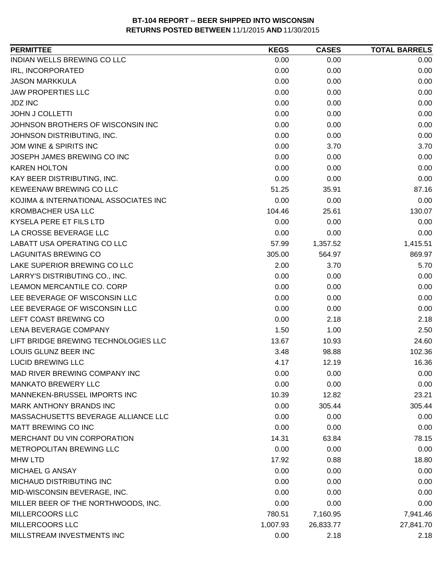| INDIAN WELLS BREWING CO LLC<br>0.00<br>0.00<br>0.00<br>0.00<br>IRL, INCORPORATED<br>0.00<br>0.00<br>0.00<br><b>JASON MARKKULA</b><br>0.00<br>0.00<br>0.00<br>0.00<br>0.00<br>0.00<br>0.00<br><b>JDZ INC</b><br>0.00<br>0.00<br><b>JOHN J COLLETTI</b><br>0.00<br>0.00<br>0.00<br>JOHNSON BROTHERS OF WISCONSIN INC<br>0.00<br>0.00<br>0.00<br>JOHNSON DISTRIBUTING, INC.<br>0.00<br>0.00<br>JOM WINE & SPIRITS INC<br>0.00<br>3.70<br>3.70<br>JOSEPH JAMES BREWING CO INC<br>0.00<br>0.00<br>0.00<br><b>KAREN HOLTON</b><br>0.00<br>0.00<br>0.00<br>KAY BEER DISTRIBUTING, INC.<br>0.00<br>0.00<br>0.00<br>KEWEENAW BREWING CO LLC<br>87.16<br>51.25<br>35.91<br>KOJIMA & INTERNATIONAL ASSOCIATES INC<br>0.00<br>0.00<br>0.00<br><b>KROMBACHER USA LLC</b><br>130.07<br>104.46<br>25.61<br>KYSELA PERE ET FILS LTD<br>0.00<br>0.00<br>0.00<br>LA CROSSE BEVERAGE LLC<br>0.00<br>0.00<br>0.00<br>LABATT USA OPERATING CO LLC<br>57.99<br>1,357.52<br>1,415.51<br><b>LAGUNITAS BREWING CO</b><br>305.00<br>869.97<br>564.97<br>5.70<br>2.00<br>3.70<br>0.00<br>0.00<br>0.00<br>0.00<br>0.00<br>0.00<br>0.00<br>0.00<br>0.00<br>0.00<br>0.00<br>0.00<br>0.00<br>2.18<br>2.18<br>1.50<br>1.00<br>2.50<br>13.67<br>24.60<br>10.93<br>3.48<br>98.88<br>102.36<br><b>LUCID BREWING LLC</b><br>16.36<br>4.17<br>12.19<br>MAD RIVER BREWING COMPANY INC<br>0.00<br>0.00<br>0.00<br>0.00<br>0.00<br>0.00<br>MANNEKEN-BRUSSEL IMPORTS INC<br>10.39<br>12.82<br>23.21<br>0.00<br>305.44<br>305.44<br>MASSACHUSETTS BEVERAGE ALLIANCE LLC<br>0.00<br>0.00<br>0.00<br>0.00<br>0.00<br>0.00<br>MERCHANT DU VIN CORPORATION<br>14.31<br>63.84<br>78.15<br>METROPOLITAN BREWING LLC<br>0.00<br>0.00<br>0.00<br>17.92<br>0.88<br>18.80<br>0.00<br>0.00<br>0.00<br>0.00<br>0.00<br>0.00<br>0.00<br>0.00<br>0.00<br>MILLER BEER OF THE NORTHWOODS, INC.<br>0.00<br>0.00<br>0.00<br>7,941.46<br>780.51<br>7,160.95<br>27,841.70<br>1,007.93<br>26,833.77 | <b>PERMITTEE</b>                     | <b>KEGS</b> | <b>CASES</b> | <b>TOTAL BARRELS</b> |
|--------------------------------------------------------------------------------------------------------------------------------------------------------------------------------------------------------------------------------------------------------------------------------------------------------------------------------------------------------------------------------------------------------------------------------------------------------------------------------------------------------------------------------------------------------------------------------------------------------------------------------------------------------------------------------------------------------------------------------------------------------------------------------------------------------------------------------------------------------------------------------------------------------------------------------------------------------------------------------------------------------------------------------------------------------------------------------------------------------------------------------------------------------------------------------------------------------------------------------------------------------------------------------------------------------------------------------------------------------------------------------------------------------------------------------------------------------------------------------------------------------------------------------------------------------------------------------------------------------------------------------------------------------------------------------------------------------------------------------------------------------------------------------------------------------------------------------------------------------------------------------------------------------------------------------------|--------------------------------------|-------------|--------------|----------------------|
|                                                                                                                                                                                                                                                                                                                                                                                                                                                                                                                                                                                                                                                                                                                                                                                                                                                                                                                                                                                                                                                                                                                                                                                                                                                                                                                                                                                                                                                                                                                                                                                                                                                                                                                                                                                                                                                                                                                                      |                                      |             |              |                      |
|                                                                                                                                                                                                                                                                                                                                                                                                                                                                                                                                                                                                                                                                                                                                                                                                                                                                                                                                                                                                                                                                                                                                                                                                                                                                                                                                                                                                                                                                                                                                                                                                                                                                                                                                                                                                                                                                                                                                      |                                      |             |              |                      |
|                                                                                                                                                                                                                                                                                                                                                                                                                                                                                                                                                                                                                                                                                                                                                                                                                                                                                                                                                                                                                                                                                                                                                                                                                                                                                                                                                                                                                                                                                                                                                                                                                                                                                                                                                                                                                                                                                                                                      |                                      |             |              |                      |
|                                                                                                                                                                                                                                                                                                                                                                                                                                                                                                                                                                                                                                                                                                                                                                                                                                                                                                                                                                                                                                                                                                                                                                                                                                                                                                                                                                                                                                                                                                                                                                                                                                                                                                                                                                                                                                                                                                                                      | <b>JAW PROPERTIES LLC</b>            |             |              |                      |
|                                                                                                                                                                                                                                                                                                                                                                                                                                                                                                                                                                                                                                                                                                                                                                                                                                                                                                                                                                                                                                                                                                                                                                                                                                                                                                                                                                                                                                                                                                                                                                                                                                                                                                                                                                                                                                                                                                                                      |                                      |             |              |                      |
|                                                                                                                                                                                                                                                                                                                                                                                                                                                                                                                                                                                                                                                                                                                                                                                                                                                                                                                                                                                                                                                                                                                                                                                                                                                                                                                                                                                                                                                                                                                                                                                                                                                                                                                                                                                                                                                                                                                                      |                                      |             |              |                      |
|                                                                                                                                                                                                                                                                                                                                                                                                                                                                                                                                                                                                                                                                                                                                                                                                                                                                                                                                                                                                                                                                                                                                                                                                                                                                                                                                                                                                                                                                                                                                                                                                                                                                                                                                                                                                                                                                                                                                      |                                      |             |              |                      |
|                                                                                                                                                                                                                                                                                                                                                                                                                                                                                                                                                                                                                                                                                                                                                                                                                                                                                                                                                                                                                                                                                                                                                                                                                                                                                                                                                                                                                                                                                                                                                                                                                                                                                                                                                                                                                                                                                                                                      |                                      |             |              |                      |
|                                                                                                                                                                                                                                                                                                                                                                                                                                                                                                                                                                                                                                                                                                                                                                                                                                                                                                                                                                                                                                                                                                                                                                                                                                                                                                                                                                                                                                                                                                                                                                                                                                                                                                                                                                                                                                                                                                                                      |                                      |             |              |                      |
|                                                                                                                                                                                                                                                                                                                                                                                                                                                                                                                                                                                                                                                                                                                                                                                                                                                                                                                                                                                                                                                                                                                                                                                                                                                                                                                                                                                                                                                                                                                                                                                                                                                                                                                                                                                                                                                                                                                                      |                                      |             |              |                      |
|                                                                                                                                                                                                                                                                                                                                                                                                                                                                                                                                                                                                                                                                                                                                                                                                                                                                                                                                                                                                                                                                                                                                                                                                                                                                                                                                                                                                                                                                                                                                                                                                                                                                                                                                                                                                                                                                                                                                      |                                      |             |              |                      |
|                                                                                                                                                                                                                                                                                                                                                                                                                                                                                                                                                                                                                                                                                                                                                                                                                                                                                                                                                                                                                                                                                                                                                                                                                                                                                                                                                                                                                                                                                                                                                                                                                                                                                                                                                                                                                                                                                                                                      |                                      |             |              |                      |
|                                                                                                                                                                                                                                                                                                                                                                                                                                                                                                                                                                                                                                                                                                                                                                                                                                                                                                                                                                                                                                                                                                                                                                                                                                                                                                                                                                                                                                                                                                                                                                                                                                                                                                                                                                                                                                                                                                                                      |                                      |             |              |                      |
|                                                                                                                                                                                                                                                                                                                                                                                                                                                                                                                                                                                                                                                                                                                                                                                                                                                                                                                                                                                                                                                                                                                                                                                                                                                                                                                                                                                                                                                                                                                                                                                                                                                                                                                                                                                                                                                                                                                                      |                                      |             |              |                      |
|                                                                                                                                                                                                                                                                                                                                                                                                                                                                                                                                                                                                                                                                                                                                                                                                                                                                                                                                                                                                                                                                                                                                                                                                                                                                                                                                                                                                                                                                                                                                                                                                                                                                                                                                                                                                                                                                                                                                      |                                      |             |              |                      |
|                                                                                                                                                                                                                                                                                                                                                                                                                                                                                                                                                                                                                                                                                                                                                                                                                                                                                                                                                                                                                                                                                                                                                                                                                                                                                                                                                                                                                                                                                                                                                                                                                                                                                                                                                                                                                                                                                                                                      |                                      |             |              |                      |
|                                                                                                                                                                                                                                                                                                                                                                                                                                                                                                                                                                                                                                                                                                                                                                                                                                                                                                                                                                                                                                                                                                                                                                                                                                                                                                                                                                                                                                                                                                                                                                                                                                                                                                                                                                                                                                                                                                                                      |                                      |             |              |                      |
|                                                                                                                                                                                                                                                                                                                                                                                                                                                                                                                                                                                                                                                                                                                                                                                                                                                                                                                                                                                                                                                                                                                                                                                                                                                                                                                                                                                                                                                                                                                                                                                                                                                                                                                                                                                                                                                                                                                                      |                                      |             |              |                      |
|                                                                                                                                                                                                                                                                                                                                                                                                                                                                                                                                                                                                                                                                                                                                                                                                                                                                                                                                                                                                                                                                                                                                                                                                                                                                                                                                                                                                                                                                                                                                                                                                                                                                                                                                                                                                                                                                                                                                      |                                      |             |              |                      |
|                                                                                                                                                                                                                                                                                                                                                                                                                                                                                                                                                                                                                                                                                                                                                                                                                                                                                                                                                                                                                                                                                                                                                                                                                                                                                                                                                                                                                                                                                                                                                                                                                                                                                                                                                                                                                                                                                                                                      | LAKE SUPERIOR BREWING CO LLC         |             |              |                      |
|                                                                                                                                                                                                                                                                                                                                                                                                                                                                                                                                                                                                                                                                                                                                                                                                                                                                                                                                                                                                                                                                                                                                                                                                                                                                                                                                                                                                                                                                                                                                                                                                                                                                                                                                                                                                                                                                                                                                      | LARRY'S DISTRIBUTING CO., INC.       |             |              |                      |
|                                                                                                                                                                                                                                                                                                                                                                                                                                                                                                                                                                                                                                                                                                                                                                                                                                                                                                                                                                                                                                                                                                                                                                                                                                                                                                                                                                                                                                                                                                                                                                                                                                                                                                                                                                                                                                                                                                                                      | LEAMON MERCANTILE CO. CORP           |             |              |                      |
|                                                                                                                                                                                                                                                                                                                                                                                                                                                                                                                                                                                                                                                                                                                                                                                                                                                                                                                                                                                                                                                                                                                                                                                                                                                                                                                                                                                                                                                                                                                                                                                                                                                                                                                                                                                                                                                                                                                                      | LEE BEVERAGE OF WISCONSIN LLC        |             |              |                      |
|                                                                                                                                                                                                                                                                                                                                                                                                                                                                                                                                                                                                                                                                                                                                                                                                                                                                                                                                                                                                                                                                                                                                                                                                                                                                                                                                                                                                                                                                                                                                                                                                                                                                                                                                                                                                                                                                                                                                      | LEE BEVERAGE OF WISCONSIN LLC        |             |              |                      |
|                                                                                                                                                                                                                                                                                                                                                                                                                                                                                                                                                                                                                                                                                                                                                                                                                                                                                                                                                                                                                                                                                                                                                                                                                                                                                                                                                                                                                                                                                                                                                                                                                                                                                                                                                                                                                                                                                                                                      | LEFT COAST BREWING CO                |             |              |                      |
|                                                                                                                                                                                                                                                                                                                                                                                                                                                                                                                                                                                                                                                                                                                                                                                                                                                                                                                                                                                                                                                                                                                                                                                                                                                                                                                                                                                                                                                                                                                                                                                                                                                                                                                                                                                                                                                                                                                                      | LENA BEVERAGE COMPANY                |             |              |                      |
|                                                                                                                                                                                                                                                                                                                                                                                                                                                                                                                                                                                                                                                                                                                                                                                                                                                                                                                                                                                                                                                                                                                                                                                                                                                                                                                                                                                                                                                                                                                                                                                                                                                                                                                                                                                                                                                                                                                                      | LIFT BRIDGE BREWING TECHNOLOGIES LLC |             |              |                      |
|                                                                                                                                                                                                                                                                                                                                                                                                                                                                                                                                                                                                                                                                                                                                                                                                                                                                                                                                                                                                                                                                                                                                                                                                                                                                                                                                                                                                                                                                                                                                                                                                                                                                                                                                                                                                                                                                                                                                      | LOUIS GLUNZ BEER INC                 |             |              |                      |
|                                                                                                                                                                                                                                                                                                                                                                                                                                                                                                                                                                                                                                                                                                                                                                                                                                                                                                                                                                                                                                                                                                                                                                                                                                                                                                                                                                                                                                                                                                                                                                                                                                                                                                                                                                                                                                                                                                                                      |                                      |             |              |                      |
|                                                                                                                                                                                                                                                                                                                                                                                                                                                                                                                                                                                                                                                                                                                                                                                                                                                                                                                                                                                                                                                                                                                                                                                                                                                                                                                                                                                                                                                                                                                                                                                                                                                                                                                                                                                                                                                                                                                                      |                                      |             |              |                      |
|                                                                                                                                                                                                                                                                                                                                                                                                                                                                                                                                                                                                                                                                                                                                                                                                                                                                                                                                                                                                                                                                                                                                                                                                                                                                                                                                                                                                                                                                                                                                                                                                                                                                                                                                                                                                                                                                                                                                      | <b>MANKATO BREWERY LLC</b>           |             |              |                      |
|                                                                                                                                                                                                                                                                                                                                                                                                                                                                                                                                                                                                                                                                                                                                                                                                                                                                                                                                                                                                                                                                                                                                                                                                                                                                                                                                                                                                                                                                                                                                                                                                                                                                                                                                                                                                                                                                                                                                      |                                      |             |              |                      |
|                                                                                                                                                                                                                                                                                                                                                                                                                                                                                                                                                                                                                                                                                                                                                                                                                                                                                                                                                                                                                                                                                                                                                                                                                                                                                                                                                                                                                                                                                                                                                                                                                                                                                                                                                                                                                                                                                                                                      | <b>MARK ANTHONY BRANDS INC</b>       |             |              |                      |
|                                                                                                                                                                                                                                                                                                                                                                                                                                                                                                                                                                                                                                                                                                                                                                                                                                                                                                                                                                                                                                                                                                                                                                                                                                                                                                                                                                                                                                                                                                                                                                                                                                                                                                                                                                                                                                                                                                                                      |                                      |             |              |                      |
|                                                                                                                                                                                                                                                                                                                                                                                                                                                                                                                                                                                                                                                                                                                                                                                                                                                                                                                                                                                                                                                                                                                                                                                                                                                                                                                                                                                                                                                                                                                                                                                                                                                                                                                                                                                                                                                                                                                                      | MATT BREWING CO INC                  |             |              |                      |
|                                                                                                                                                                                                                                                                                                                                                                                                                                                                                                                                                                                                                                                                                                                                                                                                                                                                                                                                                                                                                                                                                                                                                                                                                                                                                                                                                                                                                                                                                                                                                                                                                                                                                                                                                                                                                                                                                                                                      |                                      |             |              |                      |
|                                                                                                                                                                                                                                                                                                                                                                                                                                                                                                                                                                                                                                                                                                                                                                                                                                                                                                                                                                                                                                                                                                                                                                                                                                                                                                                                                                                                                                                                                                                                                                                                                                                                                                                                                                                                                                                                                                                                      |                                      |             |              |                      |
|                                                                                                                                                                                                                                                                                                                                                                                                                                                                                                                                                                                                                                                                                                                                                                                                                                                                                                                                                                                                                                                                                                                                                                                                                                                                                                                                                                                                                                                                                                                                                                                                                                                                                                                                                                                                                                                                                                                                      | <b>MHW LTD</b>                       |             |              |                      |
|                                                                                                                                                                                                                                                                                                                                                                                                                                                                                                                                                                                                                                                                                                                                                                                                                                                                                                                                                                                                                                                                                                                                                                                                                                                                                                                                                                                                                                                                                                                                                                                                                                                                                                                                                                                                                                                                                                                                      | MICHAEL G ANSAY                      |             |              |                      |
|                                                                                                                                                                                                                                                                                                                                                                                                                                                                                                                                                                                                                                                                                                                                                                                                                                                                                                                                                                                                                                                                                                                                                                                                                                                                                                                                                                                                                                                                                                                                                                                                                                                                                                                                                                                                                                                                                                                                      | MICHAUD DISTRIBUTING INC             |             |              |                      |
|                                                                                                                                                                                                                                                                                                                                                                                                                                                                                                                                                                                                                                                                                                                                                                                                                                                                                                                                                                                                                                                                                                                                                                                                                                                                                                                                                                                                                                                                                                                                                                                                                                                                                                                                                                                                                                                                                                                                      | MID-WISCONSIN BEVERAGE, INC.         |             |              |                      |
|                                                                                                                                                                                                                                                                                                                                                                                                                                                                                                                                                                                                                                                                                                                                                                                                                                                                                                                                                                                                                                                                                                                                                                                                                                                                                                                                                                                                                                                                                                                                                                                                                                                                                                                                                                                                                                                                                                                                      |                                      |             |              |                      |
|                                                                                                                                                                                                                                                                                                                                                                                                                                                                                                                                                                                                                                                                                                                                                                                                                                                                                                                                                                                                                                                                                                                                                                                                                                                                                                                                                                                                                                                                                                                                                                                                                                                                                                                                                                                                                                                                                                                                      | <b>MILLERCOORS LLC</b>               |             |              |                      |
|                                                                                                                                                                                                                                                                                                                                                                                                                                                                                                                                                                                                                                                                                                                                                                                                                                                                                                                                                                                                                                                                                                                                                                                                                                                                                                                                                                                                                                                                                                                                                                                                                                                                                                                                                                                                                                                                                                                                      | MILLERCOORS LLC                      |             |              |                      |
|                                                                                                                                                                                                                                                                                                                                                                                                                                                                                                                                                                                                                                                                                                                                                                                                                                                                                                                                                                                                                                                                                                                                                                                                                                                                                                                                                                                                                                                                                                                                                                                                                                                                                                                                                                                                                                                                                                                                      | MILLSTREAM INVESTMENTS INC           | 0.00        | 2.18         | 2.18                 |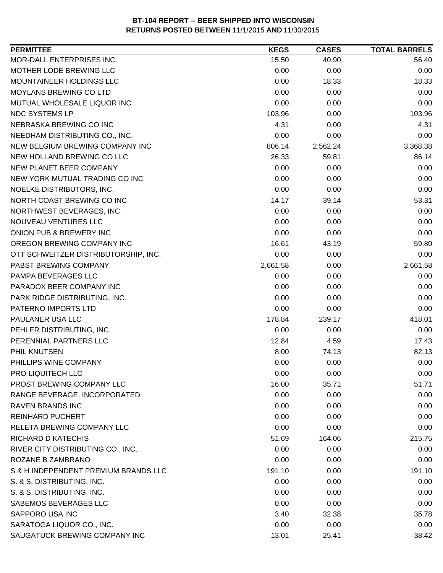| <b>PERMITTEE</b>                     | <b>KEGS</b> | <b>CASES</b> | <b>TOTAL BARRELS</b> |
|--------------------------------------|-------------|--------------|----------------------|
| MOR-DALL ENTERPRISES INC.            | 15.50       | 40.90        | 56.40                |
| MOTHER LODE BREWING LLC              | 0.00        | 0.00         | 0.00                 |
| MOUNTAINEER HOLDINGS LLC             | 0.00        | 18.33        | 18.33                |
| <b>MOYLANS BREWING CO LTD</b>        | 0.00        | 0.00         | 0.00                 |
| MUTUAL WHOLESALE LIQUOR INC          | 0.00        | 0.00         | 0.00                 |
| NDC SYSTEMS LP                       | 103.96      | 0.00         | 103.96               |
| NEBRASKA BREWING CO INC              | 4.31        | 0.00         | 4.31                 |
| NEEDHAM DISTRIBUTING CO., INC.       | 0.00        | 0.00         | 0.00                 |
| NEW BELGIUM BREWING COMPANY INC      | 806.14      | 2,562.24     | 3,368.38             |
| NEW HOLLAND BREWING CO LLC           | 26.33       | 59.81        | 86.14                |
| NEW PLANET BEER COMPANY              | 0.00        | 0.00         | 0.00                 |
| NEW YORK MUTUAL TRADING CO INC       | 0.00        | 0.00         | 0.00                 |
| NOELKE DISTRIBUTORS, INC.            | 0.00        | 0.00         | 0.00                 |
| NORTH COAST BREWING CO INC           | 14.17       | 39.14        | 53.31                |
| NORTHWEST BEVERAGES, INC.            | 0.00        | 0.00         | 0.00                 |
| NOUVEAU VENTURES LLC                 | 0.00        | 0.00         | 0.00                 |
| ONION PUB & BREWERY INC              | 0.00        | 0.00         | 0.00                 |
| OREGON BREWING COMPANY INC           | 16.61       | 43.19        | 59.80                |
| OTT SCHWEITZER DISTRIBUTORSHIP, INC. | 0.00        | 0.00         | 0.00                 |
| PABST BREWING COMPANY                | 2,661.58    | 0.00         | 2,661.58             |
| PAMPA BEVERAGES LLC                  | 0.00        | 0.00         | 0.00                 |
| PARADOX BEER COMPANY INC             | 0.00        | 0.00         | 0.00                 |
| PARK RIDGE DISTRIBUTING, INC.        | 0.00        | 0.00         | 0.00                 |
| PATERNO IMPORTS LTD                  | 0.00        | 0.00         | 0.00                 |
| PAULANER USA LLC                     | 178.84      | 239.17       | 418.01               |
| PEHLER DISTRIBUTING, INC.            | 0.00        | 0.00         | 0.00                 |
| PERENNIAL PARTNERS LLC               | 12.84       | 4.59         | 17.43                |
| PHIL KNUTSEN                         | 8.00        | 74.13        | 82.13                |
| PHILLIPS WINE COMPANY                | 0.00        | 0.00         | 0.00                 |
| PRO-LIQUITECH LLC                    | 0.00        | 0.00         | 0.00                 |
| PROST BREWING COMPANY LLC            | 16.00       | 35.71        | 51.71                |
| RANGE BEVERAGE, INCORPORATED         | 0.00        | 0.00         | 0.00                 |
| <b>RAVEN BRANDS INC</b>              | 0.00        | 0.00         | 0.00                 |
| <b>REINHARD PUCHERT</b>              | 0.00        | 0.00         | 0.00                 |
| RELETA BREWING COMPANY LLC           | 0.00        | 0.00         | 0.00                 |
| RICHARD D KATECHIS                   | 51.69       | 164.06       | 215.75               |
| RIVER CITY DISTRIBUTING CO., INC.    | 0.00        | 0.00         | 0.00                 |
| ROZANE B ZAMBRANO                    | 0.00        | 0.00         | 0.00                 |
| S & H INDEPENDENT PREMIUM BRANDS LLC | 191.10      | 0.00         | 191.10               |
| S. & S. DISTRIBUTING, INC.           | 0.00        | 0.00         | 0.00                 |
| S. & S. DISTRIBUTING, INC.           | 0.00        | 0.00         | 0.00                 |
| SABEMOS BEVERAGES LLC                | 0.00        | 0.00         | 0.00                 |
| SAPPORO USA INC                      | 3.40        | 32.38        | 35.78                |
| SARATOGA LIQUOR CO., INC.            | 0.00        | 0.00         | 0.00                 |
| SAUGATUCK BREWING COMPANY INC        | 13.01       | 25.41        | 38.42                |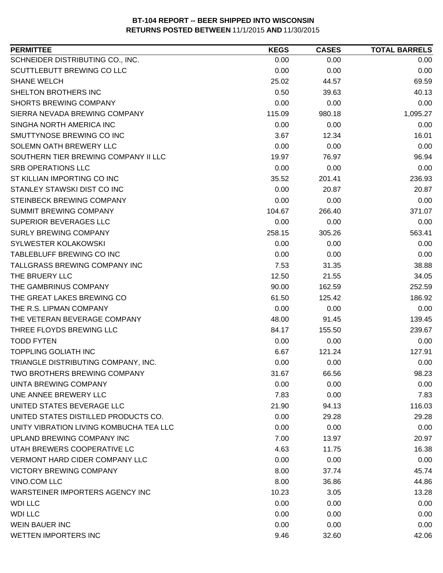| <b>PERMITTEE</b>                        | <b>KEGS</b> | <b>CASES</b> | <b>TOTAL BARRELS</b> |
|-----------------------------------------|-------------|--------------|----------------------|
| SCHNEIDER DISTRIBUTING CO., INC.        | 0.00        | 0.00         | 0.00                 |
| SCUTTLEBUTT BREWING CO LLC              | 0.00        | 0.00         | 0.00                 |
| <b>SHANE WELCH</b>                      | 25.02       | 44.57        | 69.59                |
| SHELTON BROTHERS INC                    | 0.50        | 39.63        | 40.13                |
| <b>SHORTS BREWING COMPANY</b>           | 0.00        | 0.00         | 0.00                 |
| SIERRA NEVADA BREWING COMPANY           | 115.09      | 980.18       | 1,095.27             |
| SINGHA NORTH AMERICA INC                | 0.00        | 0.00         | 0.00                 |
| SMUTTYNOSE BREWING CO INC               | 3.67        | 12.34        | 16.01                |
| SOLEMN OATH BREWERY LLC                 | 0.00        | 0.00         | 0.00                 |
| SOUTHERN TIER BREWING COMPANY II LLC    | 19.97       | 76.97        | 96.94                |
| <b>SRB OPERATIONS LLC</b>               | 0.00        | 0.00         | 0.00                 |
| ST KILLIAN IMPORTING CO INC             | 35.52       | 201.41       | 236.93               |
| STANLEY STAWSKI DIST CO INC             | 0.00        | 20.87        | 20.87                |
| STEINBECK BREWING COMPANY               | 0.00        | 0.00         | 0.00                 |
| SUMMIT BREWING COMPANY                  | 104.67      | 266.40       | 371.07               |
| <b>SUPERIOR BEVERAGES LLC</b>           | 0.00        | 0.00         | 0.00                 |
| <b>SURLY BREWING COMPANY</b>            | 258.15      | 305.26       | 563.41               |
| <b>SYLWESTER KOLAKOWSKI</b>             | 0.00        | 0.00         | 0.00                 |
| TABLEBLUFF BREWING CO INC               | 0.00        | 0.00         | 0.00                 |
| TALLGRASS BREWING COMPANY INC           | 7.53        | 31.35        | 38.88                |
| THE BRUERY LLC                          | 12.50       | 21.55        | 34.05                |
| THE GAMBRINUS COMPANY                   | 90.00       | 162.59       | 252.59               |
| THE GREAT LAKES BREWING CO              | 61.50       | 125.42       | 186.92               |
| THE R.S. LIPMAN COMPANY                 | 0.00        | 0.00         | 0.00                 |
| THE VETERAN BEVERAGE COMPANY            | 48.00       | 91.45        | 139.45               |
| THREE FLOYDS BREWING LLC                | 84.17       | 155.50       | 239.67               |
| <b>TODD FYTEN</b>                       | 0.00        | 0.00         | 0.00                 |
| <b>TOPPLING GOLIATH INC</b>             | 6.67        | 121.24       | 127.91               |
| TRIANGLE DISTRIBUTING COMPANY, INC.     | 0.00        | 0.00         | 0.00                 |
| <b>TWO BROTHERS BREWING COMPANY</b>     | 31.67       | 66.56        | 98.23                |
| UINTA BREWING COMPANY                   | 0.00        | 0.00         | 0.00                 |
| UNE ANNEE BREWERY LLC                   | 7.83        | 0.00         | 7.83                 |
| UNITED STATES BEVERAGE LLC              | 21.90       | 94.13        | 116.03               |
| UNITED STATES DISTILLED PRODUCTS CO.    | 0.00        | 29.28        | 29.28                |
| UNITY VIBRATION LIVING KOMBUCHA TEA LLC | 0.00        | 0.00         | 0.00                 |
| UPLAND BREWING COMPANY INC              | 7.00        | 13.97        | 20.97                |
| UTAH BREWERS COOPERATIVE LC             | 4.63        | 11.75        | 16.38                |
| <b>VERMONT HARD CIDER COMPANY LLC</b>   | 0.00        | 0.00         | 0.00                 |
| <b>VICTORY BREWING COMPANY</b>          | 8.00        | 37.74        | 45.74                |
| VINO.COM LLC                            | 8.00        | 36.86        | 44.86                |
| WARSTEINER IMPORTERS AGENCY INC         | 10.23       | 3.05         | 13.28                |
| <b>WDI LLC</b>                          | 0.00        | 0.00         | 0.00                 |
| <b>WDI LLC</b>                          | 0.00        | 0.00         | 0.00                 |
| <b>WEIN BAUER INC</b>                   | 0.00        | 0.00         | 0.00                 |
| <b>WETTEN IMPORTERS INC</b>             | 9.46        | 32.60        | 42.06                |
|                                         |             |              |                      |